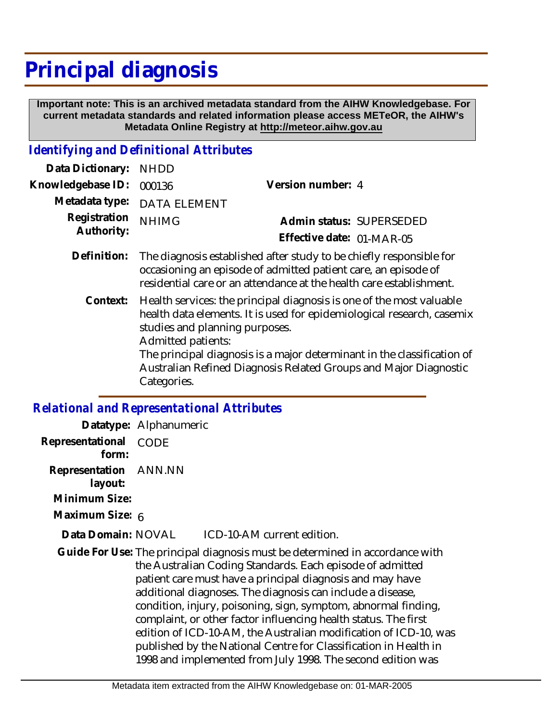## **Principal diagnosis**

 **Important note: This is an archived metadata standard from the AIHW Knowledgebase. For current metadata standards and related information please access METeOR, the AIHW's Metadata Online Registry at http://meteor.aihw.gov.au**

## *Identifying and Definitional Attributes*

| <b>NHDD</b>                                                                                                                                                                                                                                                                                                                                           |                           |
|-------------------------------------------------------------------------------------------------------------------------------------------------------------------------------------------------------------------------------------------------------------------------------------------------------------------------------------------------------|---------------------------|
| 000136                                                                                                                                                                                                                                                                                                                                                | Version number: 4         |
| <b>DATA ELEMENT</b>                                                                                                                                                                                                                                                                                                                                   |                           |
| <b>NHIMG</b>                                                                                                                                                                                                                                                                                                                                          | Admin status: SUPERSEDED  |
|                                                                                                                                                                                                                                                                                                                                                       | Effective date: 01-MAR-05 |
| The diagnosis established after study to be chiefly responsible for<br>occasioning an episode of admitted patient care, an episode of<br>residential care or an attendance at the health care establishment.                                                                                                                                          |                           |
| Health services: the principal diagnosis is one of the most valuable<br>health data elements. It is used for epidemiological research, casemix<br>studies and planning purposes.<br>Admitted patients:<br>The principal diagnosis is a major determinant in the classification of<br>Australian Refined Diagnosis Related Groups and Major Diagnostic |                           |
|                                                                                                                                                                                                                                                                                                                                                       |                           |

## *Relational and Representational Attributes*

Categories.

|                                  | Datatype: Alphanumeric |                                                                                                                                                                                                                                                                                                                                                                                                                                                                                                                                                                                                                  |
|----------------------------------|------------------------|------------------------------------------------------------------------------------------------------------------------------------------------------------------------------------------------------------------------------------------------------------------------------------------------------------------------------------------------------------------------------------------------------------------------------------------------------------------------------------------------------------------------------------------------------------------------------------------------------------------|
| Representational<br>form:        | CODE                   |                                                                                                                                                                                                                                                                                                                                                                                                                                                                                                                                                                                                                  |
| Representation ANN.NN<br>layout: |                        |                                                                                                                                                                                                                                                                                                                                                                                                                                                                                                                                                                                                                  |
| Minimum Size:                    |                        |                                                                                                                                                                                                                                                                                                                                                                                                                                                                                                                                                                                                                  |
| Maximum Size: 6                  |                        |                                                                                                                                                                                                                                                                                                                                                                                                                                                                                                                                                                                                                  |
| Data Domain: NOVAL               |                        | ICD-10-AM current edition.                                                                                                                                                                                                                                                                                                                                                                                                                                                                                                                                                                                       |
|                                  |                        | Guide For Use: The principal diagnosis must be determined in accordance with<br>the Australian Coding Standards. Each episode of admitted<br>patient care must have a principal diagnosis and may have<br>additional diagnoses. The diagnosis can include a disease,<br>condition, injury, poisoning, sign, symptom, abnormal finding,<br>complaint, or other factor influencing health status. The first<br>edition of ICD-10-AM, the Australian modification of ICD-10, was<br>published by the National Centre for Classification in Health in<br>1998 and implemented from July 1998. The second edition was |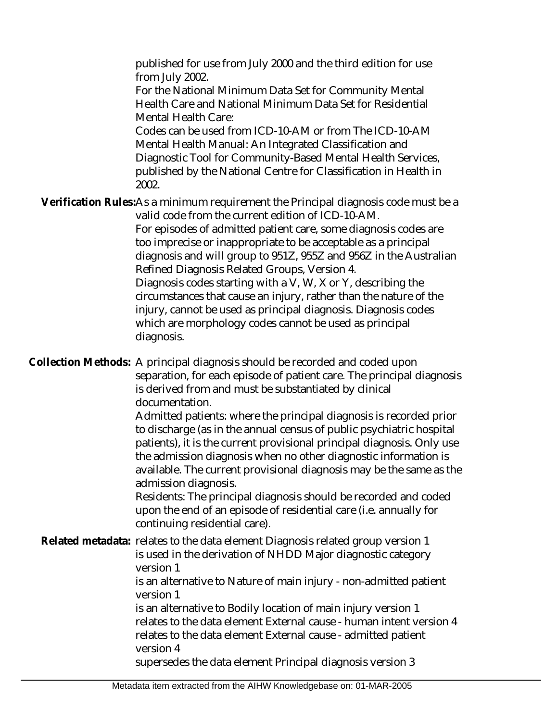published for use from July 2000 and the third edition for use from July 2002.

For the National Minimum Data Set for Community Mental Health Care and National Minimum Data Set for Residential Mental Health Care:

Codes can be used from ICD-10-AM or from The ICD-10-AM Mental Health Manual: An Integrated Classification and Diagnostic Tool for Community-Based Mental Health Services, published by the National Centre for Classification in Health in 2002.

Verification Rules:As a minimum requirement the Principal diagnosis code must be a valid code from the current edition of ICD-10-AM.

For episodes of admitted patient care, some diagnosis codes are too imprecise or inappropriate to be acceptable as a principal diagnosis and will group to 951Z, 955Z and 956Z in the Australian Refined Diagnosis Related Groups, Version 4.

Diagnosis codes starting with a V, W, X or Y, describing the circumstances that cause an injury, rather than the nature of the injury, cannot be used as principal diagnosis. Diagnosis codes which are morphology codes cannot be used as principal diagnosis.

Collection Methods: A principal diagnosis should be recorded and coded upon separation, for each episode of patient care. The principal diagnosis is derived from and must be substantiated by clinical documentation.

Admitted patients: where the principal diagnosis is recorded prior to discharge (as in the annual census of public psychiatric hospital patients), it is the current provisional principal diagnosis. Only use the admission diagnosis when no other diagnostic information is available. The current provisional diagnosis may be the same as the admission diagnosis.

Residents: The principal diagnosis should be recorded and coded upon the end of an episode of residential care (i.e. annually for continuing residential care).

Related metadata: relates to the data element Diagnosis related group version 1 is used in the derivation of NHDD Major diagnostic category version 1 is an alternative to Nature of main injury - non-admitted patient version 1 is an alternative to Bodily location of main injury version 1 relates to the data element External cause - human intent version 4 relates to the data element External cause - admitted patient version 4 supersedes the data element Principal diagnosis version 3